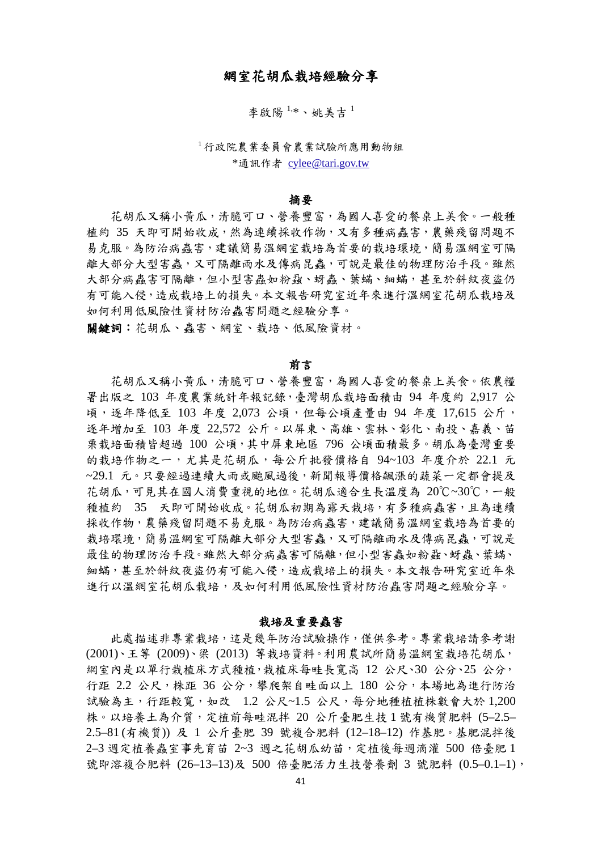# 網室花胡瓜栽培經驗分享

李啟陽1,\*、姚美吉1

<sup>1</sup>行政院農業委員會農業試驗所應用動物組 \*通訊作者 [cylee@tari.gov.tw](mailto:cylee@tari.gov.tw)

## 摘要

花胡瓜又稱小黃瓜,清脆可口、營養豐富,為國人喜愛的餐桌上美食。一般種 植約 35 天即可開始收成,然為連續採收作物,又有多種病蟲害,農藥殘留問題不 易克服。為防治病蟲害,建議簡易溫網室栽培為首要的栽培環境,簡易溫網室可隔 離大部分大型害蟲,又可隔離雨水及傳病昆蟲,可說是最佳的物理防治手段。雖然 大部分病蟲害可隔離,但小型害蟲如粉蝨、蚜蟲、葉蟎、細蟎,甚至於斜紋夜盜仍 有可能入侵,造成栽培上的損失。本文報告研究室近年來進行溫網室花胡瓜栽培及 如何利用低風險性資材防治蟲害問題之經驗分享。

關鍵詞:花胡瓜、蟲害、網室、栽培、低風險資材。

#### 前言

花胡瓜又稱小黃瓜,清脆可口、營養豐富,為國人喜愛的餐桌上美食。依農糧 署出版之 103 年度農業統計年報記錄,臺灣胡瓜栽培面積由 94 年度約 2,917 公 頃,逐年降低至 103 年度 2,073 公頃,但每公頃產量由 94 年度 17,615 公斤, 逐年增加至 103 年度 22,572 公斤。以屏東、高雄、雲林、彰化、南投、嘉義、苗 栗栽培面積皆超過 100 公頃,其中屏東地區 796 公頃面積最多。胡瓜為臺灣重要 的栽培作物之一,尤其是花胡瓜,每公斤批發價格自 94~103 年度介於 22.1 元 ~29.1 元。只要經過連續大雨或颱風過後,新聞報導價格飆漲的蔬菜一定都會提及 花胡瓜,可見其在國人消費重視的地位。花胡瓜適合生長溫度為 20℃~30℃,一般 種植約 35 天即可開始收成。花胡瓜初期為露天栽培,有多種病蟲害,且為連續 採收作物,農藥殘留問題不易克服。為防治病蟲害,建議簡易溫網室栽培為首要的 栽培環境,簡易溫網室可隔離大部分大型害蟲,又可隔離雨水及傳病昆蟲,可說是 最佳的物理防治手段。雖然大部分病蟲害可隔離,但小型害蟲如粉蝨、蚜蟲、葉蟎、 細蟎,甚至於斜紋夜盜仍有可能入侵,造成栽培上的損失。本文報告研究室近年來 進行以溫網室花胡瓜栽培,及如何利用低風險性資材防治蟲害問題之經驗分享。

## 栽培及重要蟲害

此處描述非專業栽培,這是幾年防治試驗操作,僅供參考。專業栽培請參考謝 (2001)、王等 (2009)、梁 (2013) 等栽培資料。利用農試所簡易溫網室栽培花胡瓜, 網室內是以單行栽植床方式種植,栽植床每畦長寬高 12 公尺、30 公分、25 公分, 行距 2.2 公尺,株距 36 公分,攀爬架自畦面以上 180 公分,本場地為進行防治 試驗為主,行距較寬,如改 1.2 公尺~1.5 公尺,每分地種植植株數會大於 1,200 株。以培養土為介質,定植前每畦混拌 20 公斤臺肥生技 1 號有機質肥料 (5–2.5– 2.5–81 (有機質)) 及 1 公斤臺肥 39 號複合肥料 (12–18–12) 作基肥。基肥混拌後 2–3 週定植養蟲室事先育苗 2~3 週之花胡瓜幼苗,定植後每週滴灌 500 倍臺肥 1 號即溶複合肥料 (26-13-13)及 500 倍臺肥活力生技營養劑 3 號肥料 (0.5-0.1-1),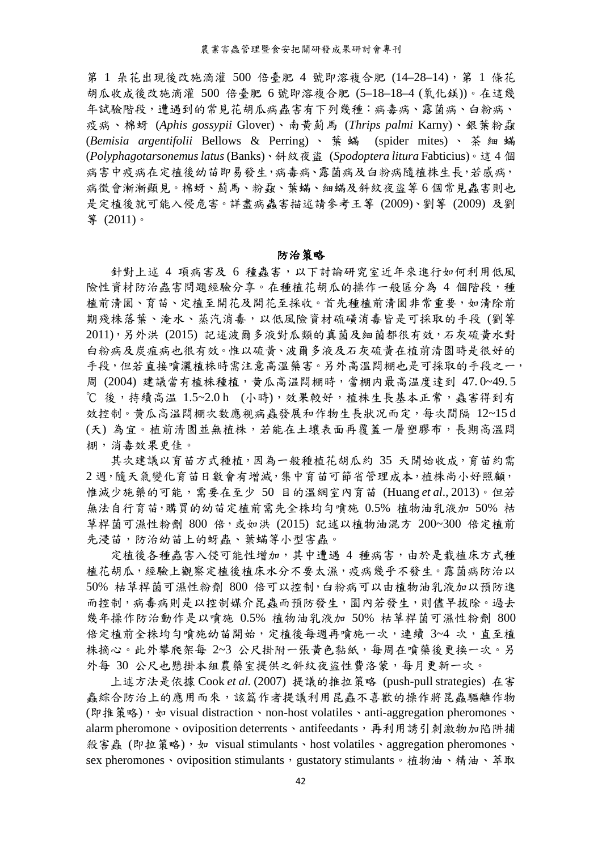第 1 朵花出現後改施滴灌 500 倍臺肥 4 號即溶複合肥 (14-28-14),第 1 條花 胡瓜收成後改施滴灌 500 倍臺肥 6 號即溶複合肥 (5–18–18–4 (氧化鎂))。在這幾 年試驗階段,遭遇到的常見花胡瓜病蟲害有下列幾種:病毒病、露菌病、白粉病、 疫病、棉蚜 (*Aphis gossypii* Glover)、南黃薊馬 (*Thrips palmi* Karny)、銀葉粉蝨 (*Bemisia argentifolii* Bellows & Perring)、葉蟎 (spider mites)、茶細蟎 (*Polyphagotarsonemus latus*(Banks)、斜紋夜盜 (*Spodoptera litura* Fabticius)。這 4 個 病害中疫病在定植後幼苗即易發生,病毒病、露菌病及白粉病隨植株生長,若感病, 病徵會漸漸顯見。棉蚜、薊馬、粉蝨、葉蟎、細蟎及斜紋夜盜等 6 個常見蟲害則也 是定植後就可能入侵危害。詳盡病蟲害描述請參考王等 (2009)、劉等 (2009) 及劉 等 (2011)。

## 防治策略

針對上述 4 項病害及 6 種蟲害,以下討論研究室近年來進行如何利用低風 險性資材防治蟲害問題經驗分享。在種植花胡瓜的操作一般區分為 4 個階段,種 植前清園、育苗、定植至開花及開花至採收。首先種植前清園非常重要,如清除前 期殘株落葉、淹水、蒸汽消毒,以低風險資材硫磺消毒皆是可採取的手段 (劉等 2011),另外洪 (2015) 記述波爾多液對瓜類的真菌及細菌都很有效,石灰硫黃水對 白粉病及炭疽病也很有效。惟以硫黃、波爾多液及石灰硫黃在植前清園時是很好的 手段,但若直接噴灑植株時需注意高溫藥害。另外高溫悶棚也是可採取的手段之一, 周 (2004) 建議當有植株種植,黃瓜高温悶棚時,當棚内最高温度達到 47.0~49.5 ℃ 後,持續高温 1.5~2.0 h (小時),效果較好,植株生長基本正常,蟲害得到有 效控制。黄瓜高温悶棚次数應视病蟲發展和作物生長狀況而定,每次間隔 12~15 d (天) 為宜。植前清園並無植株,若能在土壤表面再覆蓋一層塑膠布,長期高溫悶 棚,消毒效果更佳。

其次建議以育苗方式種植,因為一般種植花胡瓜約 35 天開始收成,育苗約需 2 週,隨天氣變化育苗日數會有增減,集中育苗可節省管理成本,植株尚小好照顧, 惟減少施藥的可能,需要在至少 50 目的溫網室內育苗 (Huang *et al*., 2013)。但若 無法自行育苗,購買的幼苗定植前需先全株均勻噴施 0.5% 植物油乳液加 50% 枯 草桿菌可濕性粉劑 800 倍,或如洪 (2015) 記述以植物油混方 200~300 倍定植前 先浸苗,防治幼苗上的蚜蟲、葉蟎等小型害蟲。

定植後各種蟲害入侵可能性增加,其中遭遇 4 種病害,由於是栽植床方式種 植花胡瓜,經驗上觀察定植後植床水分不要太濕,疫病幾乎不發生。露菌病防治以 50% 枯草桿菌可濕性粉劑 800 倍可以控制,白粉病可以由植物油乳液加以預防進 而控制,病毒病則是以控制媒介昆蟲而預防發生,園內若發生,則儘早拔除。過去 幾年操作防治動作是以噴施 0.5% 植物油乳液加 50% 枯草桿菌可濕性粉劑 800 倍定植前全株均勻噴施幼苗開始,定植後每週再噴施一次,連續 3~4 次,直至植 株摘心。此外攀爬架每 2~3 公尺掛附一張黃色黏紙,每周在噴藥後更換一次。另 外每 30 公尺也懸掛本組農藥室提供之斜紋夜盜性費洛蒙,每月更新一次。

上述方法是依據 Cook *et al.* (2007) 提議的推拉策略 (push-pull strategies) 在害 蟲綜合防治上的應用而來,該篇作者提議利用昆蟲不喜歡的操作將昆蟲驅離作物 (即推策略), 如 visual distraction、non-host volatiles、anti-aggregation pheromones、 alarm pheromone、oviposition deterrents、antifeedants,再利用誘引刺激物加陷阱捕 殺害蟲 (即拉策略), 如 visual stimulants、host volatiles、aggregation pheromones、 sex pheromones、oviposition stimulants,gustatory stimulants。植物油、精油、萃取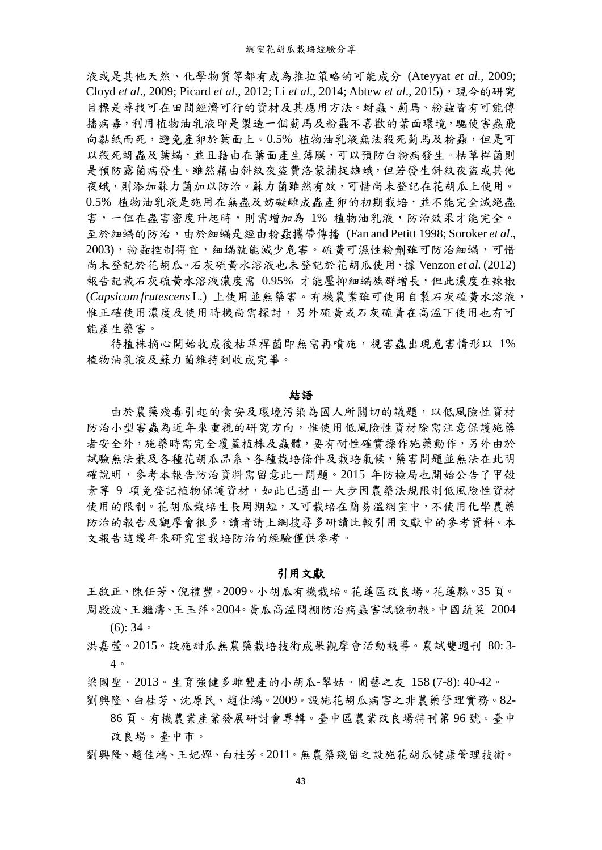液或是其他天然、化學物質等都有成為推拉策略的可能成分 (Ateyyat *et al*., 2009; Cloyd *et al.*, 2009; Picard *et al.*, 2012; Li *et al.*, 2014; Abtew *et al.*, 2015), 現今的研究 目標是尋找可在田間經濟可行的資材及其應用方法。蚜蟲、薊馬、粉蝨皆有可能傳 播病毒,利用植物油乳液即是製造一個薊馬及粉蝨不喜歡的葉面環境,驅使害蟲飛 向黏紙而死,避免產卵於葉面上。0.5% 植物油乳液無法殺死薊馬及粉蝨,但是可 以殺死蚜蟲及葉蟎,並且藉由在葉面產生薄膜,可以預防白粉病發生。枯草桿菌則 是預防露菌病發生。雖然藉由斜紋夜盜費洛蒙捕捉雄蛾,但若發生斜紋夜盜或其他 夜蛾,則添加蘇力菌加以防治。蘇力菌雖然有效,可惜尚未登記在花胡瓜上使用。 0.5% 植物油乳液是施用在無蟲及妨礙雌成蟲產卵的初期栽培,並不能完全滅絕蟲 害,一但在蟲害密度升起時,則需增加為 1% 植物油乳液,防治效果才能完全。 至於細蟎的防治,由於細蟎是經由粉蝨攜帶傳播 (Fan and Petitt 1998; Soroker *et al*., 2003),粉蝨控制得宜,細蟎就能減少危害。硫黃可濕性粉劑雖可防治細蟎,可惜 尚未登記於花胡瓜。石灰硫黃水溶液也未登記於花胡瓜使用,據 Venzon *et al.* (2012) 報告記載石灰硫黃水溶液濃度需 0.95% 才能壓抑細蟎族群增長,但此濃度在辣椒 (*Capsicum frutescens* L.) 上使用並無藥害。有機農業雖可使用自製石灰硫黃水溶液, 惟正確使用濃度及使用時機尚需探討,另外硫黃或石灰硫黃在高溫下使用也有可 能產生藥害。

待植株摘心開始收成後枯草桿菌即無需再噴施,視害蟲出現危害情形以 1% 植物油乳液及蘇力菌維持到收成完畢。

## 結語

由於農藥殘毒引起的食安及環境污染為國人所關切的議題,以低風險性資材 防治小型害蟲為近年來重視的研究方向,惟使用低風險性資材除需注意保護施藥 者安全外,施藥時需完全覆蓋植株及蟲體,要有耐性確實操作施藥動作,另外由於 試驗無法兼及各種花胡瓜品系、各種栽培條件及栽培氣候,藥害問題並無法在此明 確說明,參考本報告防治資料需留意此一問題。2015 年防檢局也開始公告了甲殼 素等 9 項免登記植物保護資材,如此已邁出一大步因農藥法規限制低風險性資材 使用的限制。花胡瓜栽培生長周期短,又可栽培在簡易溫網室中,不使用化學農藥 防治的報告及觀摩會很多,讀者請上網搜尋多研讀比較引用文獻中的參考資料。本 文報告這幾年來研究室栽培防治的經驗僅供參考。

## 引用文獻

王啟正、陳任芳、倪禮豐。2009。小胡瓜有機栽培。花蓮區改良場。花蓮縣。35 頁。 周殿波、王繼濤、王玉萍。2004。黃瓜高溫悶棚防治病蟲害試驗初報。中國蔬菜 2004 (6): 34。

- 洪嘉萱。2015。設施甜瓜無農藥栽培技術成果觀摩會活動報導。農試雙週刊 80: 3- 4。
- 梁國聖。2013。生育強健多雌豐產的小胡瓜-翠姑。園藝之友 158 (7-8): 40-42。

劉興隆、白桂芳、沈原民、趙佳鴻。2009。設施花胡瓜病害之非農藥管理實務。82-

86 頁。有機農業產業發展研討會專輯。臺中區農業改良場特刊第 96 號。臺中 改良場。臺中市。

劉興隆、趙佳鴻、王妃嬋、白桂芳。2011。無農藥殘留之設施花胡瓜健康管理技術。